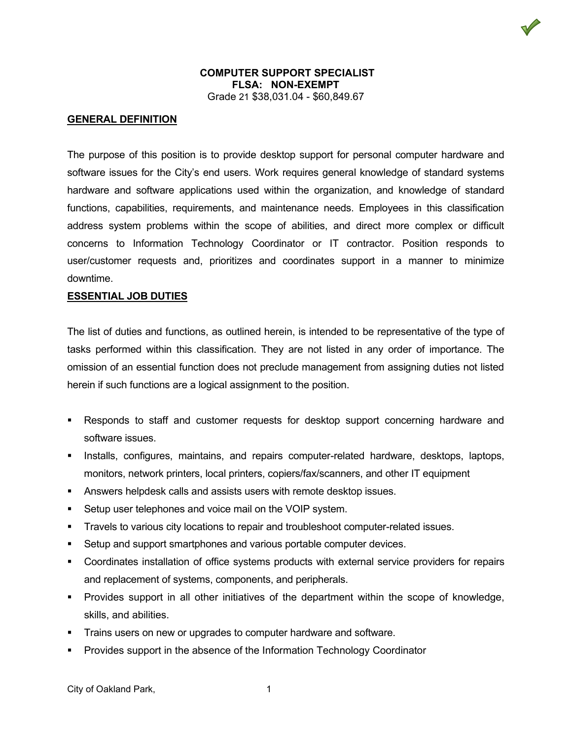### **COMPUTER SUPPORT SPECIALIST FLSA: NON-EXEMPT** Grade 21 \$38,031.04 - \$60,849.67

#### **GENERAL DEFINITION**

The purpose of this position is to provide desktop support for personal computer hardware and software issues for the City's end users. Work requires general knowledge of standard systems hardware and software applications used within the organization, and knowledge of standard functions, capabilities, requirements, and maintenance needs. Employees in this classification address system problems within the scope of abilities, and direct more complex or difficult concerns to Information Technology Coordinator or IT contractor. Position responds to user/customer requests and, prioritizes and coordinates support in a manner to minimize downtime.

#### **ESSENTIAL JOB DUTIES**

The list of duties and functions, as outlined herein, is intended to be representative of the type of tasks performed within this classification. They are not listed in any order of importance. The omission of an essential function does not preclude management from assigning duties not listed herein if such functions are a logical assignment to the position.

- Responds to staff and customer requests for desktop support concerning hardware and software issues.
- **Installs, configures, maintains, and repairs computer-related hardware, desktops, laptops,** monitors, network printers, local printers, copiers/fax/scanners, and other IT equipment
- **Answers helpdesk calls and assists users with remote desktop issues.**
- **Setup user telephones and voice mail on the VOIP system.**
- Travels to various city locations to repair and troubleshoot computer-related issues.
- Setup and support smartphones and various portable computer devices.
- Coordinates installation of office systems products with external service providers for repairs and replacement of systems, components, and peripherals.
- Provides support in all other initiatives of the department within the scope of knowledge, skills, and abilities.
- Trains users on new or upgrades to computer hardware and software.
- Provides support in the absence of the Information Technology Coordinator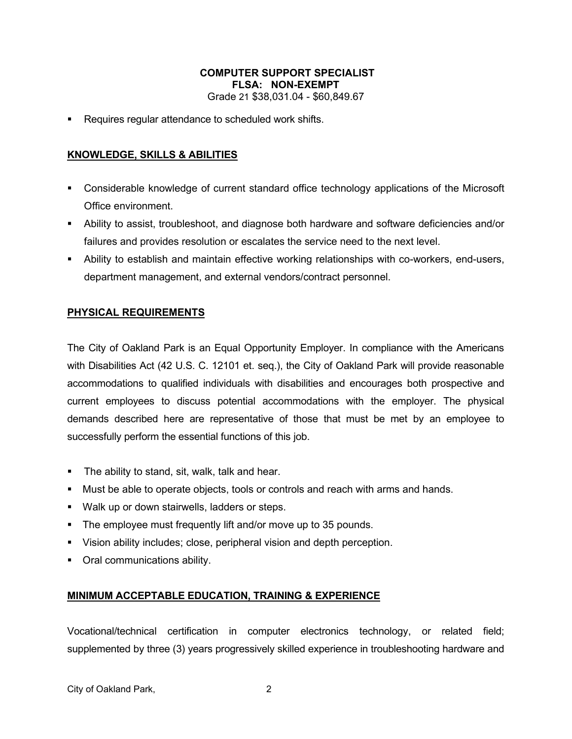## **COMPUTER SUPPORT SPECIALIST FLSA: NON-EXEMPT** Grade 21 \$38,031.04 - \$60,849.67

Requires regular attendance to scheduled work shifts.

## **KNOWLEDGE, SKILLS & ABILITIES**

- Considerable knowledge of current standard office technology applications of the Microsoft Office environment.
- Ability to assist, troubleshoot, and diagnose both hardware and software deficiencies and/or failures and provides resolution or escalates the service need to the next level.
- Ability to establish and maintain effective working relationships with co-workers, end-users, department management, and external vendors/contract personnel.

# **PHYSICAL REQUIREMENTS**

The City of Oakland Park is an Equal Opportunity Employer. In compliance with the Americans with Disabilities Act (42 U.S. C. 12101 et. seq.), the City of Oakland Park will provide reasonable accommodations to qualified individuals with disabilities and encourages both prospective and current employees to discuss potential accommodations with the employer. The physical demands described here are representative of those that must be met by an employee to successfully perform the essential functions of this job.

- **The ability to stand, sit, walk, talk and hear.**
- Must be able to operate objects, tools or controls and reach with arms and hands.
- **Walk up or down stairwells, ladders or steps.**
- **The employee must frequently lift and/or move up to 35 pounds.**
- Vision ability includes; close, peripheral vision and depth perception.
- **•** Oral communications ability.

## **MINIMUM ACCEPTABLE EDUCATION, TRAINING & EXPERIENCE**

Vocational/technical certification in computer electronics technology, or related field; supplemented by three (3) years progressively skilled experience in troubleshooting hardware and

City of Oakland Park, 2